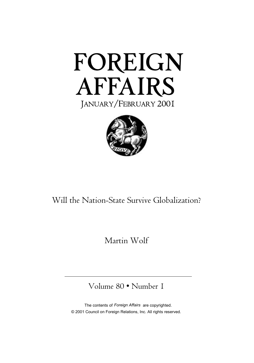



# Will the Nation-State Survive Globalization?

Martin Wolf

Volume 80 • Number 1

The contents of *Foreign Affairs* are copyrighted. © 2001 Council on Foreign Relations, Inc. All rights reserved.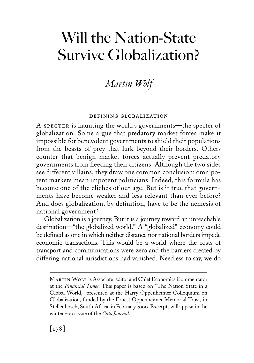# Will the Nation-State Survive Globalization?

# *Martin Wolf*

#### defining globalization

A SPECTER is haunting the world's governments—the specter of globalization. Some argue that predatory market forces make it impossible for benevolent governments to shield their populations from the beasts of prey that lurk beyond their borders. Others counter that benign market forces actually prevent predatory governments from fleecing their citizens. Although the two sides see different villains, they draw one common conclusion: omnipotent markets mean impotent politicians. Indeed, this formula has become one of the clichés of our age. But is it true that governments have become weaker and less relevant than ever before? And does globalization, by definition, have to be the nemesis of national government?

Globalization is a journey. But it is a journey toward an unreachable destination—"the globalized world." A "globalized" economy could be defined as one in which neither distance nor national borders impede economic transactions. This would be a world where the costs of transport and communications were zero and the barriers created by differing national jurisdictions had vanished. Needless to say, we do

 $\left[178\right]$ 

MARTIN WOLF is Associate Editor and Chief Economics Commentator at the *Financial Times*. This paper is based on "The Nation State in a Global World," presented at the Harry Oppenheimer Colloquium on Globalization, funded by the Ernest Oppenheimer Memorial Trust, in Stellenbosch, South Africa, in February 2000. Excerpts will appear in the winter 2001 issue of the *Cato Journal*.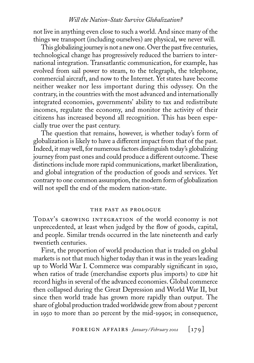#### *Will the Nation-State Survive Globalization?*

not live in anything even close to such a world. And since many of the things we transport (including ourselves) are physical, we never will.

This globalizing journey is not a new one. Over the past five centuries, technological change has progressively reduced the barriers to international integration. Transatlantic communication, for example, has evolved from sail power to steam, to the telegraph, the telephone, commercial aircraft, and now to the Internet. Yet states have become neither weaker nor less important during this odyssey. On the contrary, in the countries with the most advanced and internationally integrated economies, governments' ability to tax and redistribute incomes, regulate the economy, and monitor the activity of their citizens has increased beyond all recognition. This has been especially true over the past century.

The question that remains, however, is whether today's form of globalization is likely to have a different impact from that of the past. Indeed, it maywell, for numerousfactors distinguish today's globalizing journey from past ones and could produce a different outcome. These distinctions include more rapid communications, market liberalization, and global integration of the production of goods and services. Yet contrary to one common assumption, the modern form of globalization will not spell the end of the modern nation-state.

#### the past as prologue

TODAY's GROWING INTEGRATION of the world economy is not unprecedented, at least when judged by the flow of goods, capital, and people. Similar trends occurred in the late nineteenth and early twentieth centuries.

First, the proportion of world production that is traded on global markets is not that much higher today than it was in the years leading up to World War I. Commerce was comparably significant in 1910, when ratios of trade (merchandise exports plus imports) to GDP hit record highs in several of the advanced economies. Global commerce then collapsed during the Great Depression and World War II, but since then world trade has grown more rapidly than output. The share of global production traded worldwide grew from about 7 percent in 1950 to more than 20 percent by the mid-1990s; in consequence,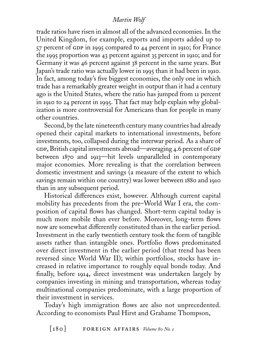trade ratios have risen in almost all of the advanced economies. In the United Kingdom, for example, exports and imports added up to 57 percent of GDP in 1995 compared to 44 percent in 1910; for France the 1995 proportion was 43 percent against 35 percent in 1910; and for Germany it was 46 percent against 38 percent in the same years. But Japan's trade ratio was actually lower in 1995 than it had been in 1910. In fact, among today's five biggest economies, the only one in which trade has a remarkably greater weight in output than it had a century ago is the United States, where the ratio has jumped from 11 percent in 1910 to 24 percent in 1995. That fact may help explain why globalization is more controversial for Americans than for people in many other countries.

Second, by the late nineteenth century many countries had already opened their capital markets to international investments, before investments, too, collapsed during the interwar period. As a share of  $GDP$ , British capital investments abroad—averaging 4.6 percent of  $GDP$ between 1870 and 1913—hit levels unparalleled in contemporary major economies. More revealing is that the correlation between domestic investment and savings (a measure of the extent to which savings remain within one country) was lower between 1880 and 1910 than in any subsequent period.

Historical differences exist, however. Although current capital mobility has precedents from the pre–World War I era, the composition of capital flows has changed. Short-term capital today is much more mobile than ever before. Moreover, long-term flows now are somewhat differently constituted than in the earlier period. Investment in the early twentieth century took the form of tangible assets rather than intangible ones. Portfolio flows predominated over direct investment in the earlier period (that trend has been reversed since World War II); within portfolios, stocks have increased in relative importance to roughly equal bonds today. And finally, before 1914, direct investment was undertaken largely by companies investing in mining and transportation, whereas today multinational companies predominate, with a large proportion of their investment in services.

Today's high immigration flows are also not unprecedented. According to economists Paul Hirst and Grahame Thompson,

[180] foreign affairs . *Volume 80 No. 1*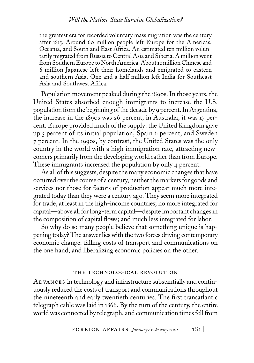the greatest era for recorded voluntary mass migration was the century after 1815. Around 60 million people left Europe for the Americas, Oceania, and South and East Africa. An estimated ten million voluntarily migrated from Russia to Central Asia and Siberia. A million went from Southern Europe to North America. About 12 million Chinese and 6 million Japanese left their homelands and emigrated to eastern and southern Asia. One and a half million left India for Southeast Asia and Southwest Africa.

Population movement peaked during the 1890s. In those years, the United States absorbed enough immigrants to increase the U.S. population from the beginning of the decade by 9 percent. In Argentina, the increase in the 1890s was 26 percent; in Australia, it was 17 percent. Europe provided much of the supply: the United Kingdom gave up 5 percent of its initial population, Spain 6 percent, and Sweden 7 percent. In the 1990s, by contrast, the United States was the only country in the world with a high immigration rate, attracting newcomers primarily from the developing world rather than from Europe. These immigrants increased the population by only 4 percent.

As all of this suggests, despite the many economic changes that have occurred over the course of a century, neither the markets for goods and services nor those for factors of production appear much more integrated today than they were a century ago. They seem more integrated for trade, at least in the high-income countries; no more integrated for capital—above all for long-term capital—despite important changes in the composition of capital flows; and much less integrated for labor.

So why do so many people believe that something unique is happening today? The answer lies with the two forces driving contemporary economic change: falling costs of transport and communications on the one hand, and liberalizing economic policies on the other.

#### the technological revolution

ADVANCES in technology and infrastructure substantially and continuously reduced the costs of transport and communications throughout the nineteenth and early twentieth centuries. The first transatlantic telegraph cable was laid in 1866. By the turn of the century, the entire world was connected by telegraph, and communication times fell from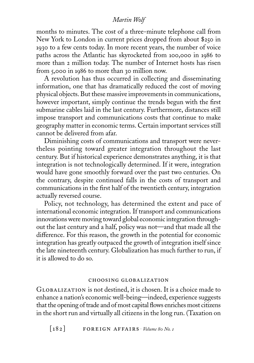months to minutes. The cost of a three-minute telephone call from New York to London in current prices dropped from about \$250 in 1930 to a few cents today. In more recent years, the number of voice paths across the Atlantic has skyrocketed from 100,000 in 1986 to more than 2 million today. The number of Internet hosts has risen from 5,000 in 1986 to more than 30 million now.

A revolution has thus occurred in collecting and disseminating information, one that has dramatically reduced the cost of moving physical objects. But these massive improvements in communications, however important, simply continue the trends begun with the first submarine cables laid in the last century. Furthermore, distances still impose transport and communications costs that continue to make geography matter in economic terms. Certain important services still cannot be delivered from afar.

Diminishing costs of communications and transport were nevertheless pointing toward greater integration throughout the last century. But if historical experience demonstrates anything, it is that integration is not technologically determined. If it were, integration would have gone smoothly forward over the past two centuries. On the contrary, despite continued falls in the costs of transport and communications in the first half of the twentieth century, integration actually reversed course.

Policy, not technology, has determined the extent and pace of international economic integration. If transport and communications innovationswere moving toward global economic integration throughout the last century and a half, policy was not—and that made all the difference. For this reason, the growth in the potential for economic integration has greatly outpaced the growth of integration itself since the late nineteenth century. Globalization has much further to run, if it is allowed to do so.

## choosing globalization

Globalization is not destined, it is chosen. It is a choice made to enhance a nation's economic well-being—indeed, experience suggests that the opening of trade and of most capital flows enriches most citizens in the short run and virtually all citizens in the long run. (Taxation on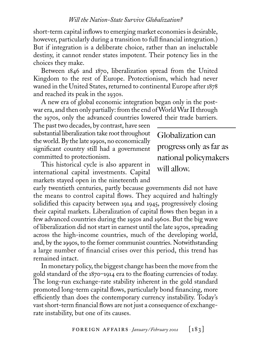short-term capital inflows to emerging market economies is desirable, however, particularly during a transition to full financial integration.) But if integration is a deliberate choice, rather than an ineluctable destiny, it cannot render states impotent. Their potency lies in the choices they make.

Between 1846 and 1870, liberalization spread from the United Kingdom to the rest of Europe. Protectionism, which had never waned in the United States, returned to continental Europe after 1878 and reached its peak in the 1930s.

A new era of global economic integration began only in the postwar era, and then only partially: from the end of World War II through the 1970s, only the advanced countries lowered their trade barriers.

The past two decades, by contrast, have seen substantial liberalization take root throughout theworld.By the late 1990s, no economically significant country still had a government committed to protectionism.

This historical cycle is also apparent in international capital investments. Capital markets stayed open in the nineteenth and

Globalization can progress only as far as national policymakers will allow.

early twentieth centuries, partly because governments did not have the means to control capital flows. They acquired and haltingly solidified this capacity between 1914 and 1945, progressively closing their capital markets. Liberalization of capital flows then began in a few advanced countries during the 1950s and 1960s. But the big wave of liberalization did not start in earnest until the late 1970s, spreading across the high-income countries, much of the developing world, and, by the 1990s, to the former communist countries. Notwithstanding a large number of financial crises over this period, this trend has remained intact.

In monetary policy, the biggest change has been the move from the gold standard of the 1870–1914 era to the floating currencies of today. The long-run exchange-rate stability inherent in the gold standard promoted long-term capital flows, particularly bond financing, more efficiently than does the contemporary currency instability. Today's vast short-term financial flows are not just a consequence of exchangerate instability, but one of its causes.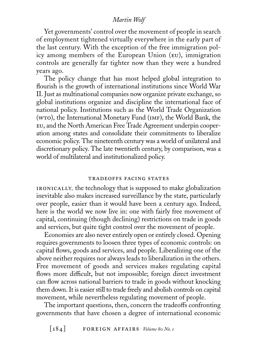Yet governments' control over the movement of people in search of employment tightened virtually everywhere in the early part of the last century. With the exception of the free immigration policy among members of the European Union (eu), immigration controls are generally far tighter now than they were a hundred years ago.

The policy change that has most helped global integration to flourish is the growth of international institutions since World War II. Just as multinational companies now organize private exchange, so global institutions organize and discipline the international face of national policy. Institutions such as the World Trade Organization (wto), the International Monetary Fund (imf), the World Bank, the eu, and the North American Free Trade Agreement underpin cooperation among states and consolidate their commitments to liberalize economic policy. The nineteenth century was a world of unilateral and discretionary policy. The late twentieth century, by comparison, was a world of multilateral and institutionalized policy.

#### tradeoffs facing states

ironically, the technology that is supposed to make globalization inevitable also makes increased surveillance by the state, particularly over people, easier than it would have been a century ago. Indeed, here is the world we now live in: one with fairly free movement of capital, continuing (though declining) restrictions on trade in goods and services, but quite tight control over the movement of people.

Economies are also never entirely open or entirely closed. Opening requires governments to loosen three types of economic controls: on capital flows, goods and services, and people. Liberalizing one of the above neither requires nor always leads to liberalization in the others. Free movement of goods and services makes regulating capital flows more difficult, but not impossible; foreign direct investment can flow across national barriers to trade in goods without knocking them down.It is easier still to trade freely and abolish controls on capital movement, while nevertheless regulating movement of people.

The important questions, then, concern the tradeoffs confronting governments that have chosen a degree of international economic

[184] foreign affairs . *Volume 80 No. 1*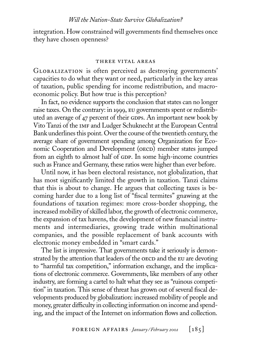integration. How constrained will governments find themselves once they have chosen openness?

#### three vital areas

GLOBALIZATION is often perceived as destroying governments' capacities to do what they want or need, particularly in the key areas of taxation, public spending for income redistribution, and macroeconomic policy. But how true is this perception?

In fact, no evidence supports the conclusion that states can no longer raise taxes. On the contrary: in 1999, eu governments spent or redistributed an average of 47 percent of their GDPs. An important new book by Vito Tanzi of the IMF and Ludger Schuknecht at the European Central Bank underlines this point. Over the course of the twentieth century, the average share of government spending among Organization for Economic Cooperation and Development (oecn) member states jumped from an eighth to almost half of GDP. In some high-income countries such as France and Germany, these ratios were higher than ever before.

Until now, it has been electoral resistance, not globalization, that has most significantly limited the growth in taxation. Tanzi claims that this is about to change. He argues that collecting taxes is becoming harder due to a long list of "fiscal termites" gnawing at the foundations of taxation regimes: more cross-border shopping, the increased mobility of skilled labor, the growth of electronic commerce, the expansion of tax havens, the development of new financial instruments and intermediaries, growing trade within multinational companies, and the possible replacement of bank accounts with electronic money embedded in "smart cards."

The list is impressive. That governments take it seriously is demonstrated by the attention that leaders of the oeco and the EU are devoting to "harmful tax competition," information exchange, and the implications of electronic commerce. Governments, like members of any other industry, are forming a cartel to halt what they see as "ruinous competition" in taxation. This sense of threat has grown out of several fiscal developments produced by globalization: increased mobility of people and money, greater difficulty in collecting information on income and spending, and the impact of the Internet on information flows and collection.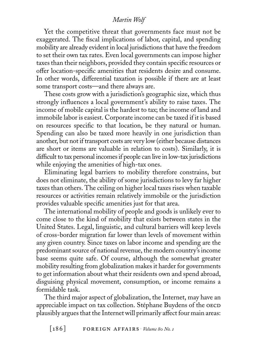Yet the competitive threat that governments face must not be exaggerated. The fiscal implications of labor, capital, and spending mobility are already evident in local jurisdictions that have the freedom to set their own tax rates. Even local governments can impose higher taxes than their neighbors, provided they contain specific resources or offer location-specific amenities that residents desire and consume. In other words, differential taxation is possible if there are at least some transport costs—and there always are.

These costs grow with a jurisdiction's geographic size, which thus strongly influences a local government's ability to raise taxes. The income of mobile capital is the hardest to tax; the income of land and immobile labor is easiest. Corporate income can be taxed if it is based on resources specific to that location, be they natural or human. Spending can also be taxed more heavily in one jurisdiction than another, but not if transport costs are very low (either because distances are short or items are valuable in relation to costs). Similarly, it is difficult to tax personal incomes if people can live in low-tax jurisdictions while enjoying the amenities of high-tax ones.

Eliminating legal barriers to mobility therefore constrains, but does not eliminate, the ability of some jurisdictions to levy far higher taxes than others. The ceiling on higher local taxes rises when taxable resources or activities remain relatively immobile or the jurisdiction provides valuable specific amenities just for that area.

The international mobility of people and goods is unlikely ever to come close to the kind of mobility that exists between states in the United States. Legal, linguistic, and cultural barriers will keep levels of cross-border migration far lower than levels of movement within any given country. Since taxes on labor income and spending are the predominant source of national revenue, the modern country's income base seems quite safe. Of course, although the somewhat greater mobility resulting from globalization makesit harder for governments to get information about what their residents own and spend abroad, disguising physical movement, consumption, or income remains a formidable task.

The third major aspect of globalization, the Internet, may have an appreciable impact on tax collection. Stéphane Buydens of the OECD plausibly argues that the Internet will primarily affect four main areas:

[186] foreign affairs . *Volume 80 No. 1*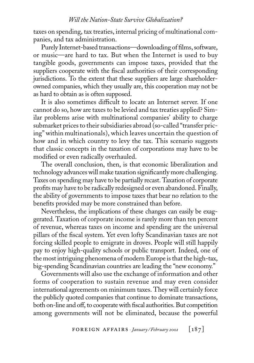taxes on spending, tax treaties, internal pricing of multinational companies, and tax administration.

Purely Internet-based transactions—downloading of films, software, or music—are hard to tax. But when the Internet is used to buy tangible goods, governments can impose taxes, provided that the suppliers cooperate with the fiscal authorities of their corresponding jurisdictions. To the extent that these suppliers are large shareholderowned companies, which they usually are, this cooperation may not be as hard to obtain as is often supposed.

It is also sometimes difficult to locate an Internet server. If one cannot do so, how are taxes to be levied and tax treaties applied? Similar problems arise with multinational companies' ability to charge submarket prices to their subsidiaries abroad (so-called "transfer pricing" within multinationals), which leaves uncertain the question of how and in which country to levy the tax. This scenario suggests that classic concepts in the taxation of corporations may have to be modified or even radically overhauled.

The overall conclusion, then, is that economic liberalization and technology advanceswill make taxation significantly more challenging. Taxes on spending may have to be partially recast. Taxation of corporate profits may have to be radically redesigned or even abandoned. Finally, the ability of governments to impose taxes that bear no relation to the benefits provided may be more constrained than before.

Nevertheless, the implications of these changes can easily be exaggerated. Taxation of corporate income is rarely more than ten percent of revenue, whereas taxes on income and spending are the universal pillars of the fiscal system. Yet even lofty Scandinavian taxes are not forcing skilled people to emigrate in droves. People will still happily pay to enjoy high-quality schools or public transport. Indeed, one of the most intriguing phenomena of modern Europe is that the high-tax, big-spending Scandinavian countries are leading the "new economy."

Governments will also use the exchange of information and other forms of cooperation to sustain revenue and may even consider international agreements on minimum taxes. They will certainly force the publicly quoted companies that continue to dominate transactions, both on-line and off, to cooperate with fiscal authorities. But competition among governments will not be eliminated, because the powerful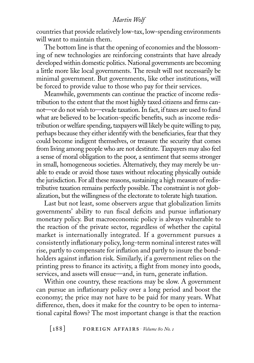countries that provide relatively low-tax, low-spending environments will want to maintain them.

The bottom line is that the opening of economies and the blossoming of new technologies are reinforcing constraints that have already developed within domestic politics. National governments are becoming a little more like local governments. The result will not necessarily be minimal government. But governments, like other institutions, will be forced to provide value to those who pay for their services.

Meanwhile, governments can continue the practice of income redistribution to the extent that the most highly taxed citizens and firms cannot—or do not wish to—evade taxation.In fact, if taxes are used to fund what are believed to be location-specific benefits, such as income redistribution orwelfare spending, taxpayerswill likely be quitewilling to pay, perhaps because they either identify with the beneficiaries, fear that they could become indigent themselves, or treasure the security that comes from living among people who are not destitute. Taxpayers may also feel a sense of moral obligation to the poor, a sentiment that seems stronger in small, homogeneous societies. Alternatively, they may merely be unable to evade or avoid those taxes without relocating physically outside the jurisdiction. For all these reasons, sustaining a high measure of redistributive taxation remains perfectly possible. The constraint is not globalization, but the willingness of the electorate to tolerate high taxation.

Last but not least, some observers argue that globalization limits governments' ability to run fiscal deficits and pursue inflationary monetary policy. But macroeconomic policy is always vulnerable to the reaction of the private sector, regardless of whether the capital market is internationally integrated. If a government pursues a consistently inflationary policy, long-term nominal interest rates will rise, partly to compensate for inflation and partly to insure the bondholders against inflation risk. Similarly, if a government relies on the printing press to finance its activity, a flight from money into goods, services, and assets will ensue—and, in turn, generate inflation.

Within one country, these reactions may be slow. A government can pursue an inflationary policy over a long period and boost the economy; the price may not have to be paid for many years. What difference, then, does it make for the country to be open to international capital flows? The most important change is that the reaction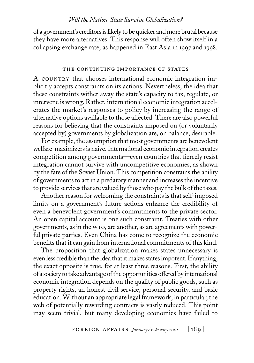### *Will the Nation-State Survive Globalization?*

of a government's creditorsislikely to be quicker and more brutal because they have more alternatives. This response will often show itself in a collapsing exchange rate, as happened in East Asia in 1997 and 1998.

#### the continuing importance of states

A COUNTRY that chooses international economic integration implicitly accepts constraints on its actions. Nevertheless, the idea that these constraints wither away the state's capacity to tax, regulate, or intervene is wrong. Rather, international economic integration accelerates the market's responses to policy by increasing the range of alternative options available to those affected. There are also powerful reasons for believing that the constraints imposed on (or voluntarily accepted by) governments by globalization are, on balance, desirable.

For example, the assumption that most governments are benevolent welfare-maximizers is naive. International economic integration creates competition among governments—even countries that fiercely resist integration cannot survive with uncompetitive economies, as shown by the fate of the Soviet Union. This competition constrains the ability of governments to act in a predatory manner and increases the incentive to provide services that are valued by those who pay the bulk of the taxes.

Another reason for welcoming the constraints is that self-imposed limits on a government's future actions enhance the credibility of even a benevolent government's commitments to the private sector. An open capital account is one such constraint. Treaties with other governments, as in the wto, are another, as are agreements with powerful private parties. Even China has come to recognize the economic benefits that it can gain from international commitments of this kind.

The proposition that globalization makes states unnecessary is even less credible than the idea that it makes states impotent. If anything, the exact opposite is true, for at least three reasons. First, the ability of a society to take advantage of the opportunities offered by international economic integration depends on the quality of public goods, such as property rights, an honest civil service, personal security, and basic education. Without an appropriate legal framework, in particular, the web of potentially rewarding contracts is vastly reduced. This point may seem trivial, but many developing economies have failed to